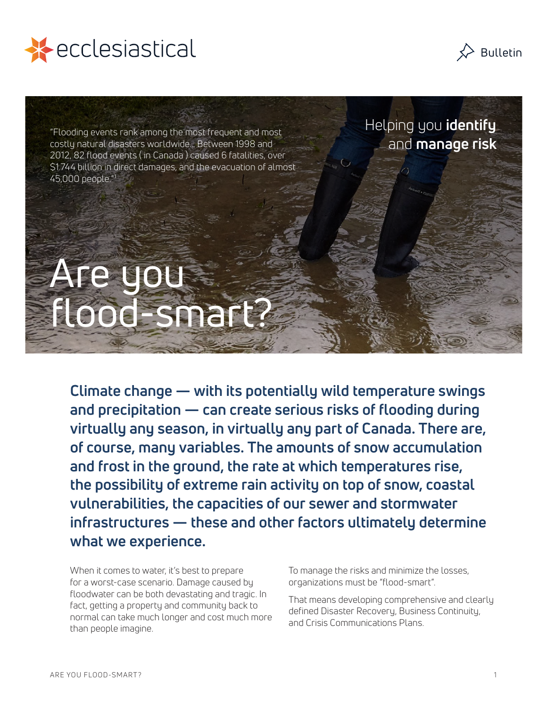



"Flooding events rank among the most frequent and most costly natural disasters worldwide… Between 1998 and 2012, 82 flood events ( in Canada ) caused 6 fatalities, over \$1.744 billion in direct damages, and the evacuation of almost  $45,000$  people."<sup>1</sup>

Helping you **identify** and **manage risk**

# Are you flood-smart?

**Climate change — with its potentially wild temperature swings and precipitation — can create serious risks of flooding during virtually any season, in virtually any part of Canada. There are, of course, many variables. The amounts of snow accumulation and frost in the ground, the rate at which temperatures rise, the possibility of extreme rain activity on top of snow, coastal vulnerabilities, the capacities of our sewer and stormwater infrastructures — these and other factors ultimately determine what we experience.**

When it comes to water, it's best to prepare for a worst-case scenario. Damage caused by floodwater can be both devastating and tragic. In fact, getting a property and community back to normal can take much longer and cost much more than people imagine.

To manage the risks and minimize the losses, organizations must be "flood-smart".

That means developing comprehensive and clearly defined Disaster Recovery, Business Continuity, and Crisis Communications Plans.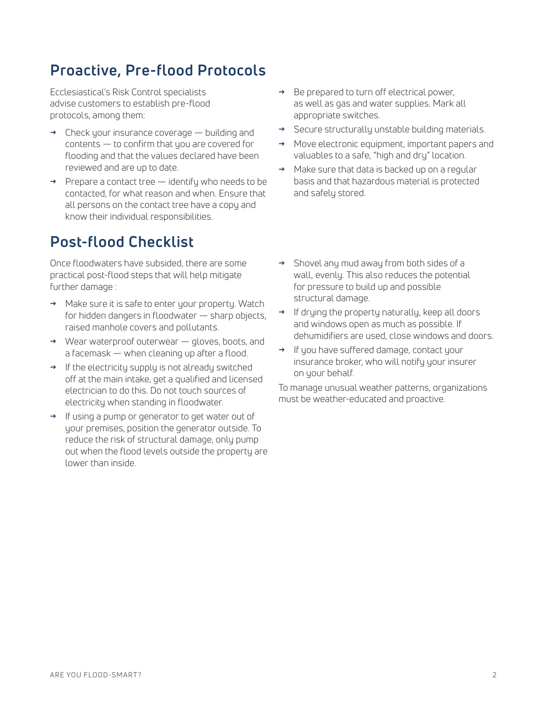## **Proactive, Pre-flood Protocols**

Ecclesiastical's Risk Control specialists advise customers to establish pre-flood protocols, among them:

- **→** Check your insurance coverage building and  $control < 0$  contents  $-$  to confirm that you are covered for flooding and that the values declared have been reviewed and are up to date.
- **→** Prepare a contact tree identify who needs to be contacted, for what reason and when. Ensure that all persons on the contact tree have a copy and know their individual responsibilities.

### **Post-flood Checklist**

Once floodwaters have subsided, there are some practical post-flood steps that will help mitigate further damage :

- **→** Make sure it is safe to enter your property. Watch for hidden dangers in floodwater — sharp objects, raised manhole covers and pollutants.
- **→** Wear waterproof outerwear gloves, boots, and a facemask — when cleaning up after a flood.
- **→** If the electricity supply is not already switched off at the main intake, get a qualified and licensed electrician to do this. Do not touch sources of electricity when standing in floodwater.
- **→** If using a pump or generator to get water out of your premises, position the generator outside. To reduce the risk of structural damage, only pump out when the flood levels outside the property are lower than inside.
- **→** Be prepared to turn off electrical power, as well as gas and water supplies. Mark all appropriate switches.
- **→** Secure structurally unstable building materials.
- **→** Move electronic equipment, important papers and valuables to a safe, "high and dry" location.
- **→** Make sure that data is backed up on a regular basis and that hazardous material is protected and safely stored.
- **→** Shovel any mud away from both sides of a wall, evenly. This also reduces the potential for pressure to build up and possible structural damage.
- **→** If drying the property naturally, keep all doors and windows open as much as possible. If dehumidifiers are used, close windows and doors.
- **→** If you have suffered damage, contact your insurance broker, who will notify your insurer on your behalf.

To manage unusual weather patterns, organizations must be weather-educated and proactive.